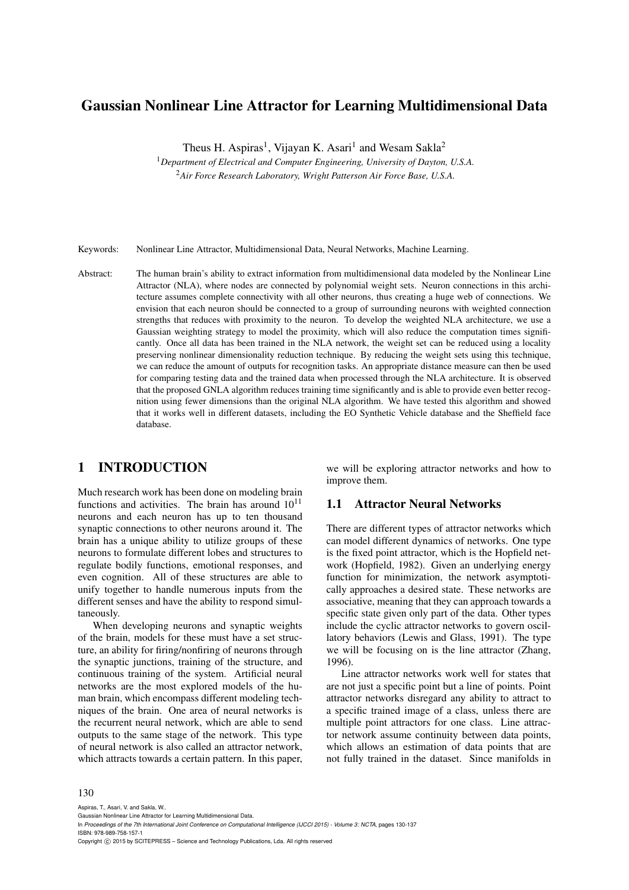# Gaussian Nonlinear Line Attractor for Learning Multidimensional Data

Theus H. Aspiras<sup>1</sup>, Vijayan K. Asari<sup>1</sup> and Wesam Sakla<sup>2</sup>

<sup>1</sup>*Department of Electrical and Computer Engineering, University of Dayton, U.S.A.* <sup>2</sup>*Air Force Research Laboratory, Wright Patterson Air Force Base, U.S.A.*

Keywords: Nonlinear Line Attractor, Multidimensional Data, Neural Networks, Machine Learning.

Abstract: The human brain's ability to extract information from multidimensional data modeled by the Nonlinear Line Attractor (NLA), where nodes are connected by polynomial weight sets. Neuron connections in this architecture assumes complete connectivity with all other neurons, thus creating a huge web of connections. We envision that each neuron should be connected to a group of surrounding neurons with weighted connection strengths that reduces with proximity to the neuron. To develop the weighted NLA architecture, we use a Gaussian weighting strategy to model the proximity, which will also reduce the computation times significantly. Once all data has been trained in the NLA network, the weight set can be reduced using a locality preserving nonlinear dimensionality reduction technique. By reducing the weight sets using this technique, we can reduce the amount of outputs for recognition tasks. An appropriate distance measure can then be used for comparing testing data and the trained data when processed through the NLA architecture. It is observed that the proposed GNLA algorithm reduces training time significantly and is able to provide even better recognition using fewer dimensions than the original NLA algorithm. We have tested this algorithm and showed that it works well in different datasets, including the EO Synthetic Vehicle database and the Sheffield face database.

## 1 INTRODUCTION

Much research work has been done on modeling brain functions and activities. The brain has around  $10^{11}$ neurons and each neuron has up to ten thousand synaptic connections to other neurons around it. The brain has a unique ability to utilize groups of these neurons to formulate different lobes and structures to regulate bodily functions, emotional responses, and even cognition. All of these structures are able to unify together to handle numerous inputs from the different senses and have the ability to respond simultaneously.

When developing neurons and synaptic weights of the brain, models for these must have a set structure, an ability for firing/nonfiring of neurons through the synaptic junctions, training of the structure, and continuous training of the system. Artificial neural networks are the most explored models of the human brain, which encompass different modeling techniques of the brain. One area of neural networks is the recurrent neural network, which are able to send outputs to the same stage of the network. This type of neural network is also called an attractor network, which attracts towards a certain pattern. In this paper,

we will be exploring attractor networks and how to improve them.

## 1.1 Attractor Neural Networks

There are different types of attractor networks which can model different dynamics of networks. One type is the fixed point attractor, which is the Hopfield network (Hopfield, 1982). Given an underlying energy function for minimization, the network asymptotically approaches a desired state. These networks are associative, meaning that they can approach towards a specific state given only part of the data. Other types include the cyclic attractor networks to govern oscillatory behaviors (Lewis and Glass, 1991). The type we will be focusing on is the line attractor (Zhang, 1996).

Line attractor networks work well for states that are not just a specific point but a line of points. Point attractor networks disregard any ability to attract to a specific trained image of a class, unless there are multiple point attractors for one class. Line attractor network assume continuity between data points, which allows an estimation of data points that are not fully trained in the dataset. Since manifolds in

#### 130

Aspiras, T., Asari, V. and Sakla, W..

Gaussian Nonlinear Line Attractor for Learning Multidimensional Data.

In *Proceedings of the 7th International Joint Conference on Computational Intelligence (IJCCI 2015) - Volume 3: NCTA*, pages 130-137 ISBN: 978-989-758-157-1

Copyright (C) 2015 by SCITEPRESS - Science and Technology Publications, Lda. All rights reserved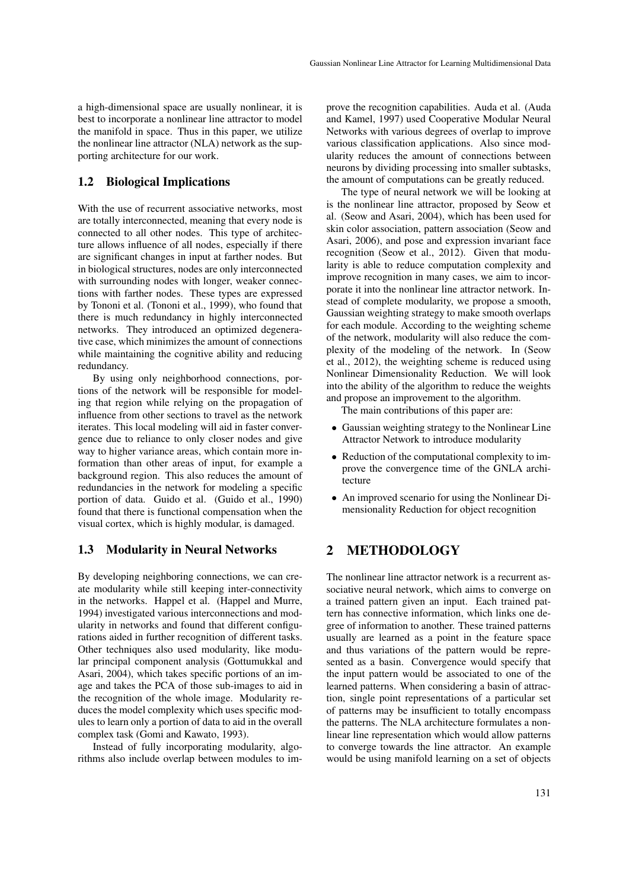a high-dimensional space are usually nonlinear, it is best to incorporate a nonlinear line attractor to model the manifold in space. Thus in this paper, we utilize the nonlinear line attractor (NLA) network as the supporting architecture for our work.

### 1.2 Biological Implications

With the use of recurrent associative networks, most are totally interconnected, meaning that every node is connected to all other nodes. This type of architecture allows influence of all nodes, especially if there are significant changes in input at farther nodes. But in biological structures, nodes are only interconnected with surrounding nodes with longer, weaker connections with farther nodes. These types are expressed by Tononi et al. (Tononi et al., 1999), who found that there is much redundancy in highly interconnected networks. They introduced an optimized degenerative case, which minimizes the amount of connections while maintaining the cognitive ability and reducing redundancy.

By using only neighborhood connections, portions of the network will be responsible for modeling that region while relying on the propagation of influence from other sections to travel as the network iterates. This local modeling will aid in faster convergence due to reliance to only closer nodes and give way to higher variance areas, which contain more information than other areas of input, for example a background region. This also reduces the amount of redundancies in the network for modeling a specific portion of data. Guido et al. (Guido et al., 1990) found that there is functional compensation when the visual cortex, which is highly modular, is damaged.

## 1.3 Modularity in Neural Networks

By developing neighboring connections, we can create modularity while still keeping inter-connectivity in the networks. Happel et al. (Happel and Murre, 1994) investigated various interconnections and modularity in networks and found that different configurations aided in further recognition of different tasks. Other techniques also used modularity, like modular principal component analysis (Gottumukkal and Asari, 2004), which takes specific portions of an image and takes the PCA of those sub-images to aid in the recognition of the whole image. Modularity reduces the model complexity which uses specific modules to learn only a portion of data to aid in the overall complex task (Gomi and Kawato, 1993).

Instead of fully incorporating modularity, algorithms also include overlap between modules to improve the recognition capabilities. Auda et al. (Auda and Kamel, 1997) used Cooperative Modular Neural Networks with various degrees of overlap to improve various classification applications. Also since modularity reduces the amount of connections between neurons by dividing processing into smaller subtasks, the amount of computations can be greatly reduced.

The type of neural network we will be looking at is the nonlinear line attractor, proposed by Seow et al. (Seow and Asari, 2004), which has been used for skin color association, pattern association (Seow and Asari, 2006), and pose and expression invariant face recognition (Seow et al., 2012). Given that modularity is able to reduce computation complexity and improve recognition in many cases, we aim to incorporate it into the nonlinear line attractor network. Instead of complete modularity, we propose a smooth, Gaussian weighting strategy to make smooth overlaps for each module. According to the weighting scheme of the network, modularity will also reduce the complexity of the modeling of the network. In (Seow et al., 2012), the weighting scheme is reduced using Nonlinear Dimensionality Reduction. We will look into the ability of the algorithm to reduce the weights and propose an improvement to the algorithm.

The main contributions of this paper are:

- Gaussian weighting strategy to the Nonlinear Line Attractor Network to introduce modularity
- Reduction of the computational complexity to improve the convergence time of the GNLA architecture
- An improved scenario for using the Nonlinear Dimensionality Reduction for object recognition

# 2 METHODOLOGY

The nonlinear line attractor network is a recurrent associative neural network, which aims to converge on a trained pattern given an input. Each trained pattern has connective information, which links one degree of information to another. These trained patterns usually are learned as a point in the feature space and thus variations of the pattern would be represented as a basin. Convergence would specify that the input pattern would be associated to one of the learned patterns. When considering a basin of attraction, single point representations of a particular set of patterns may be insufficient to totally encompass the patterns. The NLA architecture formulates a nonlinear line representation which would allow patterns to converge towards the line attractor. An example would be using manifold learning on a set of objects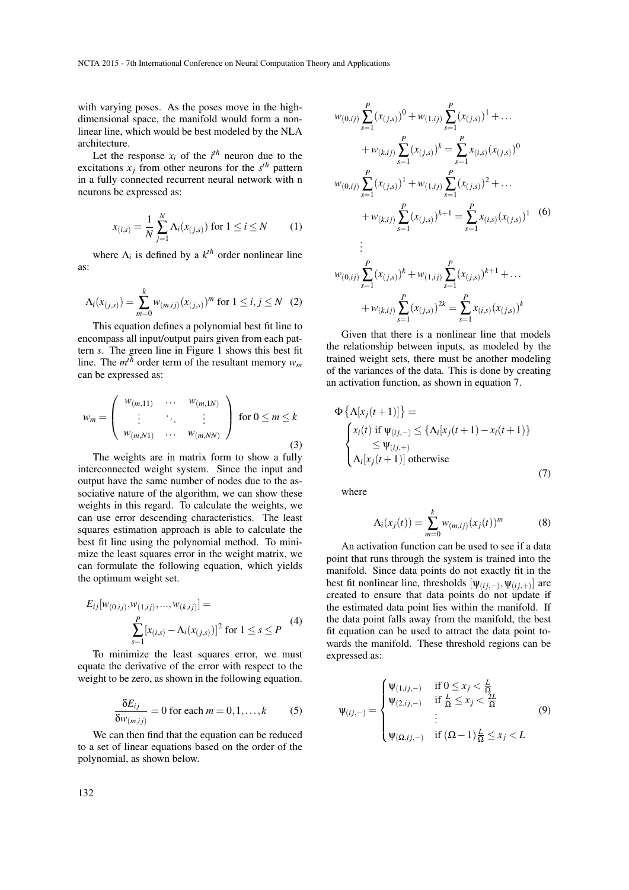with varying poses. As the poses move in the highdimensional space, the manifold would form a nonlinear line, which would be best modeled by the NLA architecture.

Let the response  $x_i$  of the  $i^{th}$  neuron due to the excitations  $x_j$  from other neurons for the  $s^{th}$  pattern in a fully connected recurrent neural network with n neurons be expressed as:

$$
x_{(i,s)} = \frac{1}{N} \sum_{j=1}^{N} \Lambda_i(x_{(j,s)}) \text{ for } 1 \le i \le N \tag{1}
$$

where  $\Lambda_i$  is defined by a  $k^{th}$  order nonlinear line as:

$$
\Lambda_i(x_{(j,s)}) = \sum_{m=0}^k w_{(m,ij)} (x_{(j,s)})^m \text{ for } 1 \le i, j \le N \quad (2)
$$

This equation defines a polynomial best fit line to encompass all input/output pairs given from each pattern *s*. The green line in Figure 1 shows this best fit line. The *m th* order term of the resultant memory *w<sup>m</sup>* can be expressed as:

$$
w_m = \left(\begin{array}{ccc} w_{(m,11)} & \cdots & w_{(m,1N)} \\ \vdots & \ddots & \vdots \\ w_{(m,N1)} & \cdots & w_{(m,NN)} \end{array}\right) \text{ for } 0 \le m \le k
$$
 (3)

The weights are in matrix form to show a fully interconnected weight system. Since the input and output have the same number of nodes due to the associative nature of the algorithm, we can show these weights in this regard. To calculate the weights, we can use error descending characteristics. The least squares estimation approach is able to calculate the best fit line using the polynomial method. To minimize the least squares error in the weight matrix, we can formulate the following equation, which yields the optimum weight set.

$$
E_{ij}[w_{(0,ij)}, w_{(1,ij)}, \dots, w_{(k,ij)}] = \sum_{s=1}^{P} [x_{(i,s)} - \Lambda_i(x_{(j,s)})]^2 \text{ for } 1 \le s \le P
$$
 (4)

To minimize the least squares error, we must equate the derivative of the error with respect to the weight to be zero, as shown in the following equation.

$$
\frac{\delta E_{ij}}{\delta w_{(m,ij)}} = 0 \text{ for each } m = 0, 1, \dots, k \tag{5}
$$

We can then find that the equation can be reduced to a set of linear equations based on the order of the polynomial, as shown below.

$$
w_{(0,ij)} \sum_{s=1}^{P} (x_{(j,s)})^0 + w_{(1,ij)} \sum_{s=1}^{P} (x_{(j,s)})^1 + \dots
$$
  
+ 
$$
w_{(k,ij)} \sum_{s=1}^{P} (x_{(j,s)})^k = \sum_{s=1}^{P} x_{(i,s)} (x_{(j,s)})^0
$$
  

$$
w_{(0,ij)} \sum_{s=1}^{P} (x_{(j,s)})^1 + w_{(1,ij)} \sum_{s=1}^{P} (x_{(j,s)})^2 + \dots
$$
  
+ 
$$
w_{(k,ij)} \sum_{s=1}^{P} (x_{(j,s)})^{k+1} = \sum_{s=1}^{P} x_{(i,s)} (x_{(j,s)})^1
$$
 (6)  
:  

$$
w_{(0,ij)} \sum_{s=1}^{P} (x_{(j,s)})^k + w_{(1,ij)} \sum_{s=1}^{P} (x_{(j,s)})^{k+1} + \dots
$$
  
+ 
$$
w_{(k,ij)} \sum_{s=1}^{P} (x_{(j,s)})^{2k} = \sum_{s=1}^{P} x_{(i,s)} (x_{(j,s)})^k
$$

Given that there is a nonlinear line that models the relationship between inputs, as modeled by the trained weight sets, there must be another modeling of the variances of the data. This is done by creating an activation function, as shown in equation 7.

$$
\Phi\left\{\Lambda[x_j(t+1)]\right\} =
$$
\n
$$
\begin{cases}\nx_i(t) \text{ if } \Psi(i,j-1) \leq \{\Lambda_i[x_j(t+1) - x_i(t+1)\} \\
\leq \Psi(i,j+1) \\
\Lambda_i[x_j(t+1)] \text{ otherwise}\n\end{cases}
$$
\n(7)

where

$$
\Lambda_i(x_j(t)) = \sum_{m=0}^k w_{(m,ij)}(x_j(t))^m
$$
 (8)

An activation function can be used to see if a data point that runs through the system is trained into the manifold. Since data points do not exactly fit in the best fit nonlinear line, thresholds  $[\Psi(i,j,-), \Psi(i,j,+)]$  are created to ensure that data points do not update if the estimated data point lies within the manifold. If the data point falls away from the manifold, the best fit equation can be used to attract the data point towards the manifold. These threshold regions can be expressed as:

$$
\Psi_{(ij,-)} = \begin{cases}\n\Psi_{(1,ij,-)} & \text{if } 0 \le x_j < \frac{L}{\Omega} \\
\Psi_{(2,ij,-)} & \text{if } \frac{L}{\Omega} \le x_j < \frac{2L}{\Omega} \\
\vdots & \vdots \\
\Psi_{(\Omega,ij,-)} & \text{if } (\Omega-1)\frac{L}{\Omega} \le x_j < L\n\end{cases} \tag{9}
$$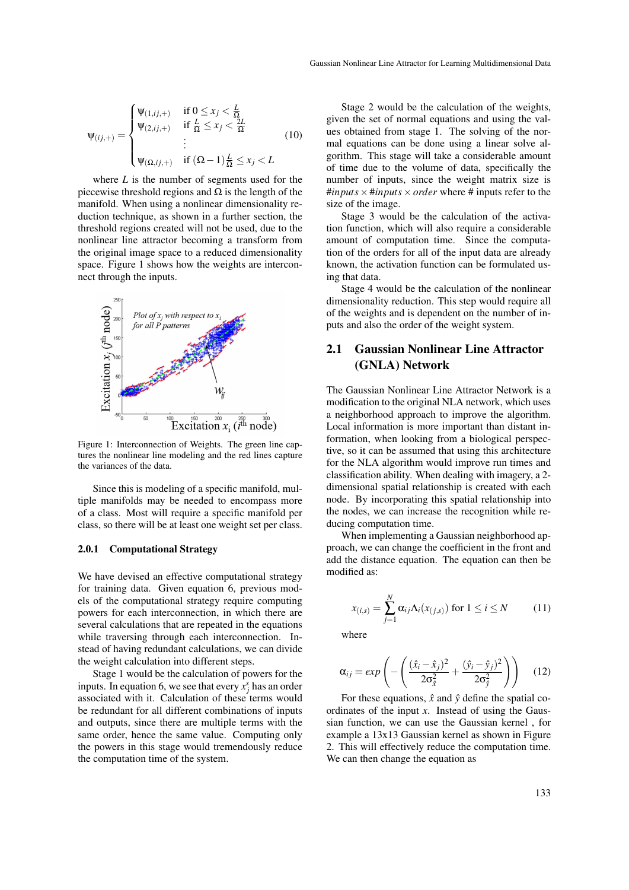$$
\Psi_{(ij, +)} = \begin{cases}\n\Psi_{(1,ij, +)} & \text{if } 0 \le x_j < \frac{L}{\Omega} \\
\Psi_{(2,ij, +)} & \text{if } \frac{L}{\Omega} \le x_j < \frac{2L}{\Omega} \\
\vdots & \vdots \\
\Psi_{(\Omega,ij, +)} & \text{if } (\Omega - 1)\frac{L}{\Omega} \le x_j < L\n\end{cases}
$$
\n(10)

where *L* is the number of segments used for the piecewise threshold regions and  $\Omega$  is the length of the manifold. When using a nonlinear dimensionality reduction technique, as shown in a further section, the threshold regions created will not be used, due to the nonlinear line attractor becoming a transform from the original image space to a reduced dimensionality space. Figure 1 shows how the weights are interconnect through the inputs.



Figure 1: Interconnection of Weights. The green line captures the nonlinear line modeling and the red lines capture the variances of the data.

Since this is modeling of a specific manifold, multiple manifolds may be needed to encompass more of a class. Most will require a specific manifold per class, so there will be at least one weight set per class.

#### 2.0.1 Computational Strategy

We have devised an effective computational strategy for training data. Given equation 6, previous models of the computational strategy require computing powers for each interconnection, in which there are several calculations that are repeated in the equations while traversing through each interconnection. Instead of having redundant calculations, we can divide the weight calculation into different steps.

Stage 1 would be the calculation of powers for the inputs. In equation 6, we see that every  $x_j^s$  has an order associated with it. Calculation of these terms would be redundant for all different combinations of inputs and outputs, since there are multiple terms with the same order, hence the same value. Computing only the powers in this stage would tremendously reduce the computation time of the system.

Stage 2 would be the calculation of the weights, given the set of normal equations and using the values obtained from stage 1. The solving of the normal equations can be done using a linear solve algorithm. This stage will take a considerable amount of time due to the volume of data, specifically the number of inputs, since the weight matrix size is  $\#inputs \times \#inputs \times order$  where  $\# inputs$  refer to the size of the image.

Stage 3 would be the calculation of the activation function, which will also require a considerable amount of computation time. Since the computation of the orders for all of the input data are already known, the activation function can be formulated using that data.

Stage 4 would be the calculation of the nonlinear dimensionality reduction. This step would require all of the weights and is dependent on the number of inputs and also the order of the weight system.

## 2.1 Gaussian Nonlinear Line Attractor (GNLA) Network

The Gaussian Nonlinear Line Attractor Network is a modification to the original NLA network, which uses a neighborhood approach to improve the algorithm. Local information is more important than distant information, when looking from a biological perspective, so it can be assumed that using this architecture for the NLA algorithm would improve run times and classification ability. When dealing with imagery, a 2 dimensional spatial relationship is created with each node. By incorporating this spatial relationship into the nodes, we can increase the recognition while reducing computation time.

When implementing a Gaussian neighborhood approach, we can change the coefficient in the front and add the distance equation. The equation can then be modified as:

$$
x_{(i,s)} = \sum_{j=1}^{N} \alpha_{ij} \Lambda_i(x_{(j,s)})
$$
 for  $1 \le i \le N$  (11)

where

$$
\alpha_{ij} = exp\left(-\left(\frac{(\hat{x}_i - \hat{x}_j)^2}{2\sigma_{\hat{x}}^2} + \frac{(\hat{y}_i - \hat{y}_j)^2}{2\sigma_{\hat{y}}^2}\right)\right) \quad (12)
$$

For these equations,  $\hat{x}$  and  $\hat{y}$  define the spatial coordinates of the input *x*. Instead of using the Gaussian function, we can use the Gaussian kernel , for example a 13x13 Gaussian kernel as shown in Figure 2. This will effectively reduce the computation time. We can then change the equation as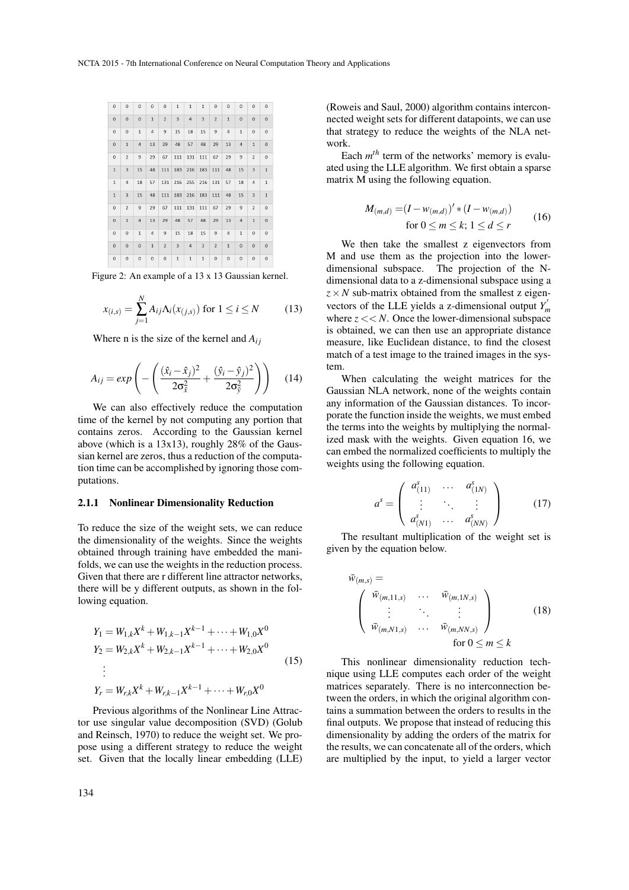| $\overline{0}$ | $\circ$                 | $\overline{0}$ | $\overline{0}$ | $\mathbf 0$    | $\mathbf{1}$            | $\mathbf{1}$   | $\mathbf{1}$            | $\mathbf 0$    | $\mathbf 0$    | $\mathbf 0$    | $\Omega$       | $\circ$        |
|----------------|-------------------------|----------------|----------------|----------------|-------------------------|----------------|-------------------------|----------------|----------------|----------------|----------------|----------------|
| $\overline{0}$ | $\overline{0}$          | $\overline{0}$ | $\overline{1}$ | $\overline{2}$ | $\overline{\mathbf{3}}$ | $\overline{4}$ | $\overline{\mathbf{3}}$ | $\overline{2}$ | $\overline{1}$ | $\circ$        | $\circ$        | $\circ$        |
| $\bf 0$        | $\overline{0}$          | $\mathbf{1}$   | $\overline{4}$ | 9              | 15                      | 18             | 15                      | 9              | $\overline{4}$ | $\mathbf{1}$   | $\circ$        | $\circ$        |
| $\overline{0}$ | $\mathbf{1}$            | $\overline{4}$ | 13             | 29             | 48                      | 57             | 48                      | 29             | 13             | $\overline{4}$ | $\overline{1}$ | $\circ$        |
| $\mathbf 0$    | $\overline{2}$          | 9              | 29             | 67             | 111                     | 131            | 111                     | 67             | 29             | 9              | $\overline{2}$ | $\circ$        |
| $\,1\,$        | $\overline{\mathbf{3}}$ | 15             | 48             | 111            | 183                     | 216            | 183                     | 111            | 48             | 15             | $\overline{3}$ | $\overline{1}$ |
| $\mathbf{1}$   | $\overline{4}$          | 18             | 57             | 131            | 216                     | 255            | 216                     | 131            | 57             | 18             | $\overline{4}$ | $\mathbf{1}$   |
| $\,1\,$        | 3                       | 15             | 48             | 111            | 183                     | 216            | 183                     | 111            | 48             | 15             | $\overline{3}$ | $\mathbf{1}$   |
| $\bf 0$        | $\overline{2}$          | 9              | 29             | 67             | 111                     | 131            | 111                     | 67             | 29             | 9              | $\overline{2}$ | 0              |
| $\bf 0$        | $\mathbf{1}$            | $\overline{4}$ | 13             | 29             | 48                      | 57             | 48                      | 29             | 13             | $\overline{4}$ | $\overline{1}$ | $\mathbf 0$    |
| $\bf 0$        | $\mathbf{0}$            | $\mathbf{1}$   | $\overline{4}$ | 9              | 15                      | 18             | 15                      | 9              | $\overline{4}$ | $\mathbf{1}$   | $\mathbf 0$    | $\mathbf 0$    |
| $\mathbf 0$    | $\mathbf{0}$            | $\mathbf{0}$   | $\mathbf{1}$   | $\overline{2}$ | 3                       | $\overline{4}$ | $\overline{\mathbf{3}}$ | $\overline{2}$ | $\overline{1}$ | $\mathbf{O}$   | $\mathbf{0}$   | $\mathbf{0}$   |
| $\mathbf 0$    | $\mathbf{0}$            | $\mathbf{0}$   | $\mathbf{0}$   | $\mathbf{0}$   | $\overline{1}$          | $\overline{1}$ | $\mathbf{1}$            | $\mathbf 0$    | $\circ$        | $\circ$        | $\circ$        | $\mathbf 0$    |

Figure 2: An example of a 13 x 13 Gaussian kernel.

$$
x_{(i,s)} = \sum_{j=1}^{N} A_{ij} \Lambda_i(x_{(j,s)}) \text{ for } 1 \le i \le N \tag{13}
$$

Where n is the size of the kernel and  $A_{ij}$ 

$$
A_{ij} = exp\left(-\left(\frac{(\hat{x}_i - \hat{x}_j)^2}{2\sigma_{\hat{x}}^2} + \frac{(\hat{y}_i - \hat{y}_j)^2}{2\sigma_{\hat{y}}^2}\right)\right) \quad (14)
$$

We can also effectively reduce the computation time of the kernel by not computing any portion that contains zeros. According to the Gaussian kernel above (which is a 13x13), roughly 28% of the Gaussian kernel are zeros, thus a reduction of the computation time can be accomplished by ignoring those computations.

#### 2.1.1 Nonlinear Dimensionality Reduction

To reduce the size of the weight sets, we can reduce the dimensionality of the weights. Since the weights obtained through training have embedded the manifolds, we can use the weights in the reduction process. Given that there are r different line attractor networks, there will be y different outputs, as shown in the following equation.

$$
Y_1 = W_{1,k}X^k + W_{1,k-1}X^{k-1} + \dots + W_{1,0}X^0
$$
  
\n
$$
Y_2 = W_{2,k}X^k + W_{2,k-1}X^{k-1} + \dots + W_{2,0}X^0
$$
  
\n
$$
\vdots
$$
  
\n
$$
Y_r = W_{r,k}X^k + W_{r,k-1}X^{k-1} + \dots + W_{r,0}X^0
$$
  
\n(15)

Previous algorithms of the Nonlinear Line Attractor use singular value decomposition (SVD) (Golub and Reinsch, 1970) to reduce the weight set. We propose using a different strategy to reduce the weight set. Given that the locally linear embedding (LLE) (Roweis and Saul, 2000) algorithm contains interconnected weight sets for different datapoints, we can use that strategy to reduce the weights of the NLA network.

Each *m th* term of the networks' memory is evaluated using the LLE algorithm. We first obtain a sparse matrix M using the following equation.

$$
M_{(m,d)} = (I - w_{(m,d)})' * (I - w_{(m,d)})
$$
  
for  $0 \le m \le k; 1 \le d \le r$  (16)

We then take the smallest z eigenvectors from M and use them as the projection into the lowerdimensional subspace. The projection of the Ndimensional data to a z-dimensional subspace using a  $z \times N$  sub-matrix obtained from the smallest z eigenvectors of the LLE yields a z-dimensional output  $Y'_m$ where  $z \ll N$ . Once the lower-dimensional subspace is obtained, we can then use an appropriate distance measure, like Euclidean distance, to find the closest match of a test image to the trained images in the system.

When calculating the weight matrices for the Gaussian NLA network, none of the weights contain any information of the Gaussian distances. To incorporate the function inside the weights, we must embed the terms into the weights by multiplying the normalized mask with the weights. Given equation 16, we can embed the normalized coefficients to multiply the weights using the following equation.

$$
a^{s} = \begin{pmatrix} a_{(11)}^{s} & \cdots & a_{(1N)}^{s} \\ \vdots & \ddots & \vdots \\ a_{(N1)}^{s} & \cdots & a_{(NN)}^{s} \end{pmatrix}
$$
 (17)

The resultant multiplication of the weight set is given by the equation below.

$$
\overline{w}_{(m,s)} = \begin{pmatrix}\n\overline{w}_{(m,11,s)} & \cdots & \overline{w}_{(m,1N,s)} \\
\vdots & \ddots & \vdots \\
\overline{w}_{(m,N1,s)} & \cdots & \overline{w}_{(m,NN,s)}\n\end{pmatrix}
$$
\n(18)

\nfor  $0 \le m \le k$ 

This nonlinear dimensionality reduction technique using LLE computes each order of the weight matrices separately. There is no interconnection between the orders, in which the original algorithm contains a summation between the orders to results in the final outputs. We propose that instead of reducing this dimensionality by adding the orders of the matrix for the results, we can concatenate all of the orders, which are multiplied by the input, to yield a larger vector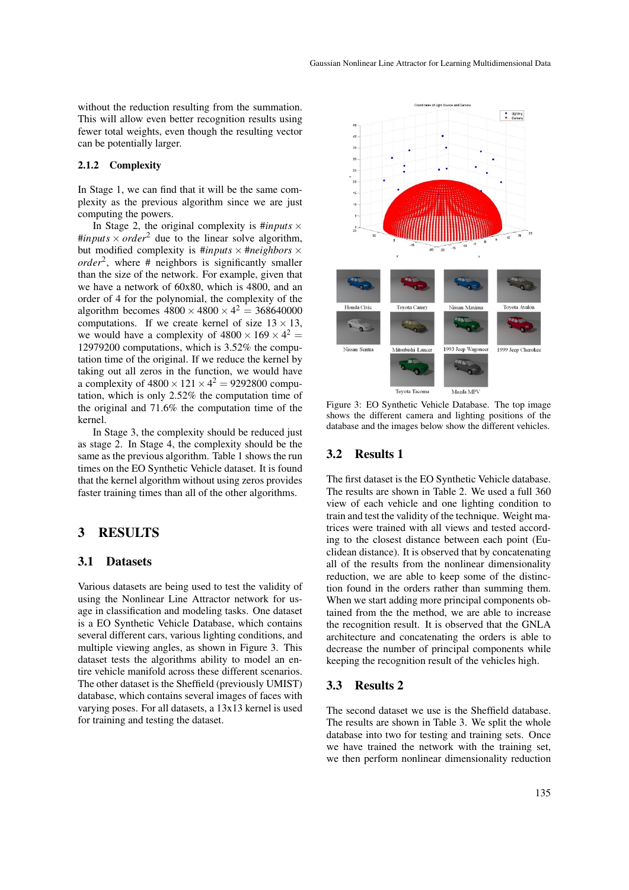without the reduction resulting from the summation. This will allow even better recognition results using fewer total weights, even though the resulting vector can be potentially larger.

#### 2.1.2 Complexity

In Stage 1, we can find that it will be the same complexity as the previous algorithm since we are just computing the powers.

In Stage 2, the original complexity is  $\#inputs \times$  $\#inputs \times order^2$  due to the linear solve algorithm, but modified complexity is  $\#inputs \times \#neighbors \times$ *order*<sup>2</sup> , where # neighbors is significantly smaller than the size of the network. For example, given that we have a network of 60x80, which is 4800, and an order of 4 for the polynomial, the complexity of the algorithm becomes  $4800 \times 4800 \times 4^2 = 368640000$ computations. If we create kernel of size  $13 \times 13$ , we would have a complexity of  $4800 \times 169 \times 4^2 =$ 12979200 computations, which is 3.52% the computation time of the original. If we reduce the kernel by taking out all zeros in the function, we would have a complexity of  $4800 \times 121 \times 4^2 = 9292800$  computation, which is only 2.52% the computation time of the original and 71.6% the computation time of the kernel.

In Stage 3, the complexity should be reduced just as stage 2. In Stage 4, the complexity should be the same as the previous algorithm. Table 1 shows the run times on the EO Synthetic Vehicle dataset. It is found that the kernel algorithm without using zeros provides faster training times than all of the other algorithms.

## 3 RESULTS

## 3.1 Datasets

Various datasets are being used to test the validity of using the Nonlinear Line Attractor network for usage in classification and modeling tasks. One dataset is a EO Synthetic Vehicle Database, which contains several different cars, various lighting conditions, and multiple viewing angles, as shown in Figure 3. This dataset tests the algorithms ability to model an entire vehicle manifold across these different scenarios. The other dataset is the Sheffield (previously UMIST) database, which contains several images of faces with varying poses. For all datasets, a 13x13 kernel is used for training and testing the dataset.



Figure 3: EO Synthetic Vehicle Database. The top image shows the different camera and lighting positions of the database and the images below show the different vehicles.

### 3.2 Results 1

The first dataset is the EO Synthetic Vehicle database. The results are shown in Table 2. We used a full 360 view of each vehicle and one lighting condition to train and test the validity of the technique. Weight matrices were trained with all views and tested according to the closest distance between each point (Euclidean distance). It is observed that by concatenating all of the results from the nonlinear dimensionality reduction, we are able to keep some of the distinction found in the orders rather than summing them. When we start adding more principal components obtained from the the method, we are able to increase the recognition result. It is observed that the GNLA architecture and concatenating the orders is able to decrease the number of principal components while keeping the recognition result of the vehicles high.

### 3.3 Results 2

The second dataset we use is the Sheffield database. The results are shown in Table 3. We split the whole database into two for testing and training sets. Once we have trained the network with the training set, we then perform nonlinear dimensionality reduction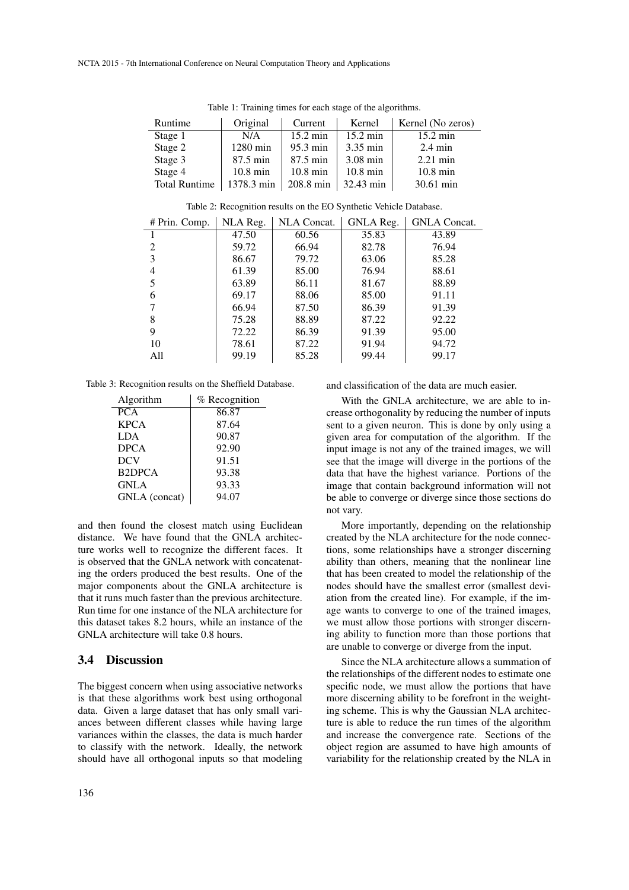| Runtime              | Original   | Current            | Kernel             | Kernel (No zeros)  |
|----------------------|------------|--------------------|--------------------|--------------------|
| Stage 1              | N/A        | $15.2 \text{ min}$ | $15.2 \text{ min}$ | $15.2 \text{ min}$ |
| Stage 2              | 1280 min   | 95.3 min           | 3.35 min           | $2.4 \text{ min}$  |
| Stage 3              | 87.5 min   | 87.5 min           | 3.08 min           | $2.21 \text{ min}$ |
| Stage 4              | $10.8$ min | $10.8 \text{ min}$ | $10.8$ min         | $10.8 \text{ min}$ |
| <b>Total Runtime</b> | 1378.3 min | 208.8 min          | 32.43 min          | 30.61 min          |

Table 2: Recognition results on the EO Synthetic Vehicle Database.

Table 1: Training times for each stage of the algorithms.

| # Prin. Comp.               | NLA Reg. | NLA Concat. | GNLA Reg. | <b>GNLA</b> Concat. |
|-----------------------------|----------|-------------|-----------|---------------------|
|                             | 47.50    | 60.56       | 35.83     | 43.89               |
| $\mathcal{D}_{\mathcal{L}}$ | 59.72    | 66.94       | 82.78     | 76.94               |
| 3                           | 86.67    | 79.72       | 63.06     | 85.28               |
| 4                           | 61.39    | 85.00       | 76.94     | 88.61               |
| 5                           | 63.89    | 86.11       | 81.67     | 88.89               |
| 6                           | 69.17    | 88.06       | 85.00     | 91.11               |
|                             | 66.94    | 87.50       | 86.39     | 91.39               |
| 8                           | 75.28    | 88.89       | 87.22     | 92.22               |
| 9                           | 72.22    | 86.39       | 91.39     | 95.00               |
| 10                          | 78.61    | 87.22       | 91.94     | 94.72               |
| All                         | 99.19    | 85.28       | 99.44     | 99.17               |

Table 3: Recognition results on the Sheffield Database.

| Algorithm     | % Recognition |
|---------------|---------------|
| <b>PCA</b>    | 86.87         |
| <b>KPCA</b>   | 87.64         |
| <b>LDA</b>    | 90.87         |
| <b>DPCA</b>   | 92.90         |
| <b>DCV</b>    | 91.51         |
| <b>B2DPCA</b> | 93.38         |
| <b>GNLA</b>   | 93.33         |
| GNLA (concat) | 94.07         |
|               |               |

and then found the closest match using Euclidean distance. We have found that the GNLA architecture works well to recognize the different faces. It is observed that the GNLA network with concatenating the orders produced the best results. One of the major components about the GNLA architecture is that it runs much faster than the previous architecture. Run time for one instance of the NLA architecture for this dataset takes 8.2 hours, while an instance of the GNLA architecture will take 0.8 hours.

#### 3.4 Discussion

The biggest concern when using associative networks is that these algorithms work best using orthogonal data. Given a large dataset that has only small variances between different classes while having large variances within the classes, the data is much harder to classify with the network. Ideally, the network should have all orthogonal inputs so that modeling

and classification of the data are much easier.

With the GNLA architecture, we are able to increase orthogonality by reducing the number of inputs sent to a given neuron. This is done by only using a given area for computation of the algorithm. If the input image is not any of the trained images, we will see that the image will diverge in the portions of the data that have the highest variance. Portions of the image that contain background information will not be able to converge or diverge since those sections do not vary.

More importantly, depending on the relationship created by the NLA architecture for the node connections, some relationships have a stronger discerning ability than others, meaning that the nonlinear line that has been created to model the relationship of the nodes should have the smallest error (smallest deviation from the created line). For example, if the image wants to converge to one of the trained images, we must allow those portions with stronger discerning ability to function more than those portions that are unable to converge or diverge from the input.

Since the NLA architecture allows a summation of the relationships of the different nodes to estimate one specific node, we must allow the portions that have more discerning ability to be forefront in the weighting scheme. This is why the Gaussian NLA architecture is able to reduce the run times of the algorithm and increase the convergence rate. Sections of the object region are assumed to have high amounts of variability for the relationship created by the NLA in